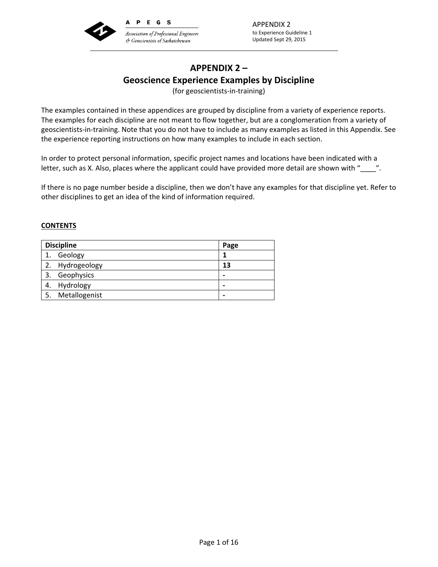

APPENDIX 2 to Experience Guideline 1 Updated Sept 29, 2015

# **APPENDIX 2 – Geoscience Experience Examples by Discipline**

(for geoscientists‐in‐training)

The examples contained in these appendices are grouped by discipline from a variety of experience reports. The examples for each discipline are not meant to flow together, but are a conglomeration from a variety of geoscientists‐in‐training. Note that you do not have to include as many examples as listed in this Appendix. See the experience reporting instructions on how many examples to include in each section.

In order to protect personal information, specific project names and locations have been indicated with a letter, such as X. Also, places where the applicant could have provided more detail are shown with "\_\_\_\_".

If there is no page number beside a discipline, then we don't have any examples for that discipline yet. Refer to other disciplines to get an idea of the kind of information required.

### **CONTENTS**

| <b>Discipline</b> | Page |
|-------------------|------|
| Geology           |      |
| 2. Hydrogeology   | 13   |
| Geophysics        | -    |
| Hydrology<br>4.   |      |
| Metallogenist     | -    |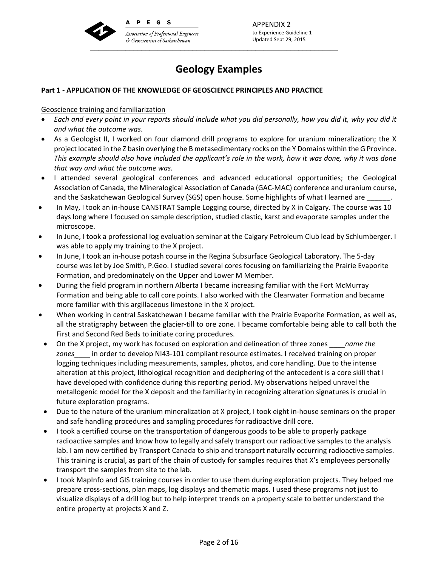

APPENDIX 2 to Experience Guideline 1 Updated Sept 29, 2015

# **Geology Examples**

### **Part 1 ‐ APPLICATION OF THE KNOWLEDGE OF GEOSCIENCE PRINCIPLES AND PRACTICE**

### Geoscience training and familiarization

- Each and every point in your reports should include what you did personally, how you did it, why you did it *and what the outcome was*.
- As a Geologist II, I worked on four diamond drill programs to explore for uranium mineralization; the X project located in the Z basin overlying the B metasedimentary rocks on the Y Domains within the G Province. This example should also have included the applicant's role in the work, how it was done, why it was done *that way and what the outcome was.*
- I attended several geological conferences and advanced educational opportunities; the Geological Association of Canada, the Mineralogical Association of Canada (GAC‐MAC) conference and uranium course, and the Saskatchewan Geological Survey (SGS) open house. Some highlights of what I learned are
- In May, I took an in-house CANSTRAT Sample Logging course, directed by X in Calgary. The course was 10 days long where I focused on sample description, studied clastic, karst and evaporate samples under the microscope.
- In June, I took a professional log evaluation seminar at the Calgary Petroleum Club lead by Schlumberger. I was able to apply my training to the X project.
- In June, I took an in-house potash course in the Regina Subsurface Geological Laboratory. The 5-day course was let by Joe Smith, P.Geo. I studied several cores focusing on familiarizing the Prairie Evaporite Formation, and predominately on the Upper and Lower M Member.
- During the field program in northern Alberta I became increasing familiar with the Fort McMurray Formation and being able to call core points. I also worked with the Clearwater Formation and became more familiar with this argillaceous limestone in the X project.
- When working in central Saskatchewan I became familiar with the Prairie Evaporite Formation, as well as, all the stratigraphy between the glacier-till to ore zone. I became comfortable being able to call both the First and Second Red Beds to initiate coring procedures.
- On the X project, my work has focused on exploration and delineation of three zones \_\_\_\_*name the zones*\_\_\_\_ in order to develop NI43‐101 compliant resource estimates. I received training on proper logging techniques including measurements, samples, photos, and core handling. Due to the intense alteration at this project, lithological recognition and deciphering of the antecedent is a core skill that I have developed with confidence during this reporting period. My observations helped unravel the metallogenic model for the X deposit and the familiarity in recognizing alteration signatures is crucial in future exploration programs.
- Due to the nature of the uranium mineralization at X project, I took eight in-house seminars on the proper and safe handling procedures and sampling procedures for radioactive drill core.
- I took a certified course on the transportation of dangerous goods to be able to properly package radioactive samples and know how to legally and safely transport our radioactive samples to the analysis lab. I am now certified by Transport Canada to ship and transport naturally occurring radioactive samples. This training is crucial, as part of the chain of custody for samples requires that X's employees personally transport the samples from site to the lab.
- I took MapInfo and GIS training courses in order to use them during exploration projects. They helped me prepare cross‐sections, plan maps, log displays and thematic maps. I used these programs not just to visualize displays of a drill log but to help interpret trends on a property scale to better understand the entire property at projects X and Z.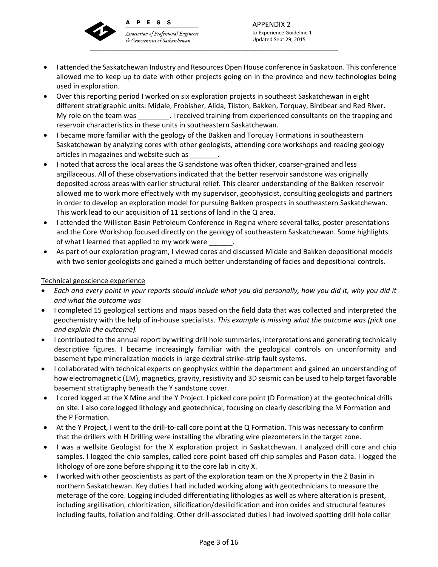

PEGS  $\mathbf{A}$ 

**Association of Professional Engineers** & Geoscientists of Saskatchewan \_\_\_\_\_\_\_\_\_\_\_\_\_\_\_\_\_\_\_\_\_\_\_\_\_\_\_\_\_\_\_\_\_\_\_\_\_\_\_\_\_\_\_\_\_\_\_\_\_\_\_\_\_\_\_\_\_\_\_\_\_\_\_

APPENDIX 2 to Experience Guideline 1 Updated Sept 29, 2015

- **I** attended the Saskatchewan Industry and Resources Open House conference in Saskatoon. This conference allowed me to keep up to date with other projects going on in the province and new technologies being used in exploration.
- Over this reporting period I worked on six exploration projects in southeast Saskatchewan in eight different stratigraphic units: Midale, Frobisher, Alida, Tilston, Bakken, Torquay, Birdbear and Red River. My role on the team was \_\_\_\_\_\_\_\_. I received training from experienced consultants on the trapping and reservoir characteristics in these units in southeastern Saskatchewan.
- I became more familiar with the geology of the Bakken and Torquay Formations in southeastern Saskatchewan by analyzing cores with other geologists, attending core workshops and reading geology articles in magazines and website such as
- Inoted that across the local areas the G sandstone was often thicker, coarser-grained and less argillaceous. All of these observations indicated that the better reservoir sandstone was originally deposited across areas with earlier structural relief. This clearer understanding of the Bakken reservoir allowed me to work more effectively with my supervisor, geophysicist, consulting geologists and partners in order to develop an exploration model for pursuing Bakken prospects in southeastern Saskatchewan. This work lead to our acquisition of 11 sections of land in the Q area.
- I attended the Williston Basin Petroleum Conference in Regina where several talks, poster presentations and the Core Workshop focused directly on the geology of southeastern Saskatchewan. Some highlights of what I learned that applied to my work were
- As part of our exploration program, I viewed cores and discussed Midale and Bakken depositional models with two senior geologists and gained a much better understanding of facies and depositional controls.

## Technical geoscience experience

- Each and every point in your reports should include what you did personally, how you did it, why you did it *and what the outcome was*
- I completed 15 geological sections and maps based on the field data that was collected and interpreted the geochemistry with the help of in‐house specialists. *This example is missing what the outcome was (pick one and explain the outcome).*
- I contributed to the annual report by writing drill hole summaries, interpretations and generating technically descriptive figures. I became increasingly familiar with the geological controls on unconformity and basement type mineralization models in large dextral strike‐strip fault systems.
- I collaborated with technical experts on geophysics within the department and gained an understanding of how electromagnetic (EM), magnetics, gravity, resistivity and 3D seismic can be used to help target favorable basement stratigraphy beneath the Y sandstone cover.
- I cored logged at the X Mine and the Y Project. I picked core point (D Formation) at the geotechnical drills on site. I also core logged lithology and geotechnical, focusing on clearly describing the M Formation and the P Formation.
- At the Y Project, I went to the drill-to-call core point at the Q Formation. This was necessary to confirm that the drillers with H Drilling were installing the vibrating wire piezometers in the target zone.
- I was a wellsite Geologist for the X exploration project in Saskatchewan. I analyzed drill core and chip samples. I logged the chip samples, called core point based off chip samples and Pason data. I logged the lithology of ore zone before shipping it to the core lab in city X.
- I worked with other geoscientists as part of the exploration team on the X property in the Z Basin in northern Saskatchewan. Key duties I had included working along with geotechnicians to measure the meterage of the core. Logging included differentiating lithologies as well as where alteration is present, including argillisation, chloritization, silicification/desilicification and iron oxides and structural features including faults, foliation and folding. Other drill‐associated duties I had involved spotting drill hole collar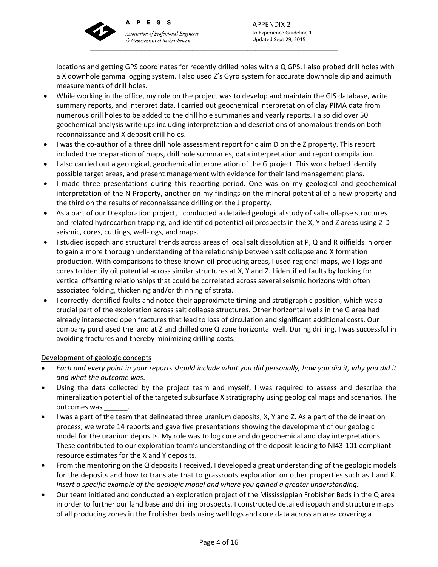

PEGS

**Association of Professional Engineers** & Geoscientists of Saskatchewan \_\_\_\_\_\_\_\_\_\_\_\_\_\_\_\_\_\_\_\_\_\_\_\_\_\_\_\_\_\_\_\_\_\_\_\_\_\_\_\_\_\_\_\_\_\_\_\_\_\_\_\_\_\_\_\_\_\_\_\_\_\_\_

APPENDIX 2 to Experience Guideline 1 Updated Sept 29, 2015

locations and getting GPS coordinates for recently drilled holes with a Q GPS. I also probed drill holes with a X downhole gamma logging system. I also used Z's Gyro system for accurate downhole dip and azimuth measurements of drill holes.

- While working in the office, my role on the project was to develop and maintain the GIS database, write summary reports, and interpret data. I carried out geochemical interpretation of clay PIMA data from numerous drill holes to be added to the drill hole summaries and yearly reports. I also did over 50 geochemical analysis write ups including interpretation and descriptions of anomalous trends on both reconnaissance and X deposit drill holes.
- I was the co-author of a three drill hole assessment report for claim D on the Z property. This report included the preparation of maps, drill hole summaries, data interpretation and report compilation.
- I also carried out a geological, geochemical interpretation of the G project. This work helped identify possible target areas, and present management with evidence for their land management plans.
- I made three presentations during this reporting period. One was on my geological and geochemical interpretation of the N Property, another on my findings on the mineral potential of a new property and the third on the results of reconnaissance drilling on the J property.
- As a part of our D exploration project, I conducted a detailed geological study of salt-collapse structures and related hydrocarbon trapping, and identified potential oil prospects in the X, Y and Z areas using 2‐D seismic, cores, cuttings, well‐logs, and maps.
- I studied isopach and structural trends across areas of local salt dissolution at P, Q and R oilfields in order to gain a more thorough understanding of the relationship between salt collapse and X formation production. With comparisons to these known oil‐producing areas, I used regional maps, well logs and cores to identify oil potential across similar structures at X, Y and Z. I identified faults by looking for vertical offsetting relationships that could be correlated across several seismic horizons with often associated folding, thickening and/or thinning of strata.
- I correctly identified faults and noted their approximate timing and stratigraphic position, which was a crucial part of the exploration across salt collapse structures. Other horizontal wells in the G area had already intersected open fractures that lead to loss of circulation and significant additional costs. Our company purchased the land at Z and drilled one Q zone horizontal well. During drilling, I was successful in avoiding fractures and thereby minimizing drilling costs.

## Development of geologic concepts

- Each and every point in your reports should include what you did personally, how you did it, why you did it *and what the outcome was*.
- Using the data collected by the project team and myself, I was required to assess and describe the mineralization potential of the targeted subsurface X stratigraphy using geological maps and scenarios. The outcomes was
- I was a part of the team that delineated three uranium deposits, X, Y and Z. As a part of the delineation process, we wrote 14 reports and gave five presentations showing the development of our geologic model for the uranium deposits. My role was to log core and do geochemical and clay interpretations. These contributed to our exploration team's understanding of the deposit leading to NI43‐101 compliant resource estimates for the X and Y deposits.
- From the mentoring on the Q deposits I received, I developed a great understanding of the geologic models for the deposits and how to translate that to grassroots exploration on other properties such as J and K. *Insert a specific example of the geologic model and where you gained a greater understanding.*
- Our team initiated and conducted an exploration project of the Mississippian Frobisher Beds in the Q area in order to further our land base and drilling prospects. I constructed detailed isopach and structure maps of all producing zones in the Frobisher beds using well logs and core data across an area covering a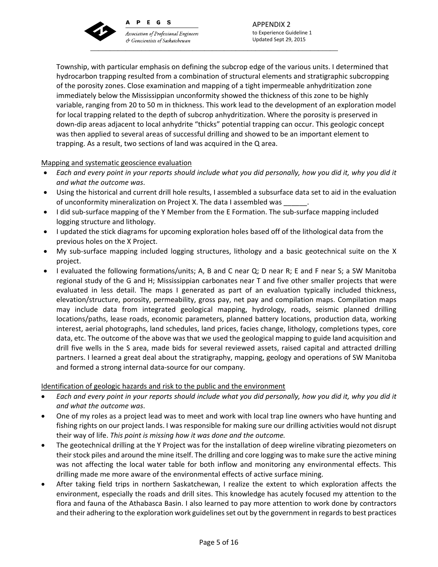

 $\mathbf{A}$ 

PEGS

**Association of Professional Engineers** & Geoscientists of Saskatchewan \_\_\_\_\_\_\_\_\_\_\_\_\_\_\_\_\_\_\_\_\_\_\_\_\_\_\_\_\_\_\_\_\_\_\_\_\_\_\_\_\_\_\_\_\_\_\_\_\_\_\_\_\_\_\_\_\_\_\_\_\_\_\_

Township, with particular emphasis on defining the subcrop edge of the various units. I determined that hydrocarbon trapping resulted from a combination of structural elements and stratigraphic subcropping of the porosity zones. Close examination and mapping of a tight impermeable anhydritization zone immediately below the Mississippian unconformity showed the thickness of this zone to be highly variable, ranging from 20 to 50 m in thickness. This work lead to the development of an exploration model for local trapping related to the depth of subcrop anhydritization. Where the porosity is preserved in down‐dip areas adjacent to local anhydrite "thicks" potential trapping can occur. This geologic concept was then applied to several areas of successful drilling and showed to be an important element to trapping. As a result, two sections of land was acquired in the Q area.

## Mapping and systematic geoscience evaluation

- Each and every point in your reports should include what you did personally, how you did it, why you did it *and what the outcome was*.
- Using the historical and current drill hole results, I assembled a subsurface data set to aid in the evaluation of unconformity mineralization on Project X. The data I assembled was
- I did sub-surface mapping of the Y Member from the E Formation. The sub-surface mapping included logging structure and lithology.
- I updated the stick diagrams for upcoming exploration holes based off of the lithological data from the previous holes on the X Project.
- My sub-surface mapping included logging structures, lithology and a basic geotechnical suite on the X project.
- I evaluated the following formations/units; A, B and C near Q; D near R; E and F near S; a SW Manitoba regional study of the G and H; Mississippian carbonates near T and five other smaller projects that were evaluated in less detail. The maps I generated as part of an evaluation typically included thickness, elevation/structure, porosity, permeability, gross pay, net pay and compilation maps. Compilation maps may include data from integrated geological mapping, hydrology, roads, seismic planned drilling locations/paths, lease roads, economic parameters, planned battery locations, production data, working interest, aerial photographs, land schedules, land prices, facies change, lithology, completions types, core data, etc. The outcome of the above was that we used the geological mapping to guide land acquisition and drill five wells in the S area, made bids for several reviewed assets, raised capital and attracted drilling partners. I learned a great deal about the stratigraphy, mapping, geology and operations of SW Manitoba and formed a strong internal data‐source for our company.

## Identification of geologic hazards and risk to the public and the environment

- Each and every point in your reports should include what you did personally, how you did it, why you did it *and what the outcome was*.
- One of my roles as a project lead was to meet and work with local trap line owners who have hunting and fishing rights on our project lands. I was responsible for making sure our drilling activities would not disrupt their way of life. *This point is missing how it was done and the outcome.*
- The geotechnical drilling at the Y Project was for the installation of deep wireline vibrating piezometers on their stock piles and around the mine itself. The drilling and core logging was to make sure the active mining was not affecting the local water table for both inflow and monitoring any environmental effects. This drilling made me more aware of the environmental effects of active surface mining.
- After taking field trips in northern Saskatchewan, I realize the extent to which exploration affects the environment, especially the roads and drill sites. This knowledge has acutely focused my attention to the flora and fauna of the Athabasca Basin. I also learned to pay more attention to work done by contractors and their adhering to the exploration work guidelines set out by the government in regards to best practices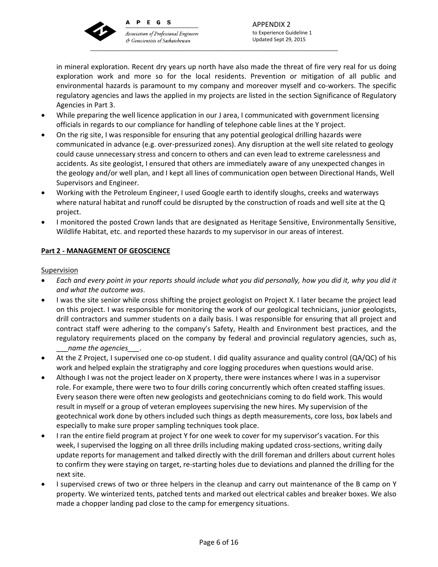

 $\Delta$ 

PEGS

**Association of Professional Engineers** & Geoscientists of Saskatchewan \_\_\_\_\_\_\_\_\_\_\_\_\_\_\_\_\_\_\_\_\_\_\_\_\_\_\_\_\_\_\_\_\_\_\_\_\_\_\_\_\_\_\_\_\_\_\_\_\_\_\_\_\_\_\_\_\_\_\_\_\_\_\_

APPENDIX 2 to Experience Guideline 1 Updated Sept 29, 2015

in mineral exploration. Recent dry years up north have also made the threat of fire very real for us doing exploration work and more so for the local residents. Prevention or mitigation of all public and environmental hazards is paramount to my company and moreover myself and co-workers. The specific regulatory agencies and laws the applied in my projects are listed in the section Significance of Regulatory Agencies in Part 3.

- While preparing the well licence application in our J area, I communicated with government licensing officials in regards to our compliance for handling of telephone cable lines at the Y project.
- On the rig site, I was responsible for ensuring that any potential geological drilling hazards were communicated in advance (e.g. over-pressurized zones). Any disruption at the well site related to geology could cause unnecessary stress and concern to others and can even lead to extreme carelessness and accidents. As site geologist, I ensured that others are immediately aware of any unexpected changes in the geology and/or well plan, and I kept all lines of communication open between Directional Hands, Well Supervisors and Engineer.
- Working with the Petroleum Engineer, I used Google earth to identify sloughs, creeks and waterways where natural habitat and runoff could be disrupted by the construction of roads and well site at the Q project.
- I monitored the posted Crown lands that are designated as Heritage Sensitive, Environmentally Sensitive, Wildlife Habitat, etc. and reported these hazards to my supervisor in our areas of interest.

# **Part 2 ‐ MANAGEMENT OF GEOSCIENCE**

## **Supervision**

- Each and every point in your reports should include what you did personally, how you did it, why you did it *and what the outcome was*.
- I was the site senior while cross shifting the project geologist on Project X. I later became the project lead on this project. I was responsible for monitoring the work of our geological technicians, junior geologists, drill contractors and summer students on a daily basis. I was responsible for ensuring that all project and contract staff were adhering to the company's Safety, Health and Environment best practices, and the regulatory requirements placed on the company by federal and provincial regulatory agencies, such as, \_\_\_*name the agencies\_\_\_.*
- At the Z Project, I supervised one co-op student. I did quality assurance and quality control (QA/QC) of his work and helped explain the stratigraphy and core logging procedures when questions would arise.
- Although I was not the project leader on X property, there were instances where I was in a supervisor role. For example, there were two to four drills coring concurrently which often created staffing issues. Every season there were often new geologists and geotechnicians coming to do field work. This would result in myself or a group of veteran employees supervising the new hires. My supervision of the geotechnical work done by others included such things as depth measurements, core loss, box labels and especially to make sure proper sampling techniques took place.
- I ran the entire field program at project Y for one week to cover for my supervisor's vacation. For this week, I supervised the logging on all three drills including making updated cross-sections, writing daily update reports for management and talked directly with the drill foreman and drillers about current holes to confirm they were staying on target, re‐starting holes due to deviations and planned the drilling for the next site.
- I supervised crews of two or three helpers in the cleanup and carry out maintenance of the B camp on Y property. We winterized tents, patched tents and marked out electrical cables and breaker boxes. We also made a chopper landing pad close to the camp for emergency situations.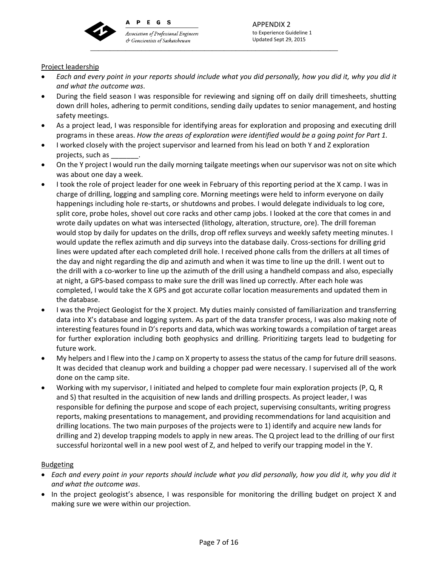

PEGS

**Association of Professional Engineers** & Geoscientists of Saskatchewan \_\_\_\_\_\_\_\_\_\_\_\_\_\_\_\_\_\_\_\_\_\_\_\_\_\_\_\_\_\_\_\_\_\_\_\_\_\_\_\_\_\_\_\_\_\_\_\_\_\_\_\_\_\_\_\_\_\_\_\_\_\_\_

## Project leadership

- Each and every point in your reports should include what you did personally, how you did it, why you did it *and what the outcome was*.
- During the field season I was responsible for reviewing and signing off on daily drill timesheets, shutting down drill holes, adhering to permit conditions, sending daily updates to senior management, and hosting safety meetings.
- As a project lead, I was responsible for identifying areas for exploration and proposing and executing drill programs in these areas. *How the areas of exploration were identified would be a going point for Part 1.*
- I worked closely with the project supervisor and learned from his lead on both Y and Z exploration projects, such as \_\_\_\_\_\_\_.
- On the Y project I would run the daily morning tailgate meetings when our supervisor was not on site which was about one day a week.
- I took the role of project leader for one week in February of this reporting period at the X camp. I was in charge of drilling, logging and sampling core. Morning meetings were held to inform everyone on daily happenings including hole re-starts, or shutdowns and probes. I would delegate individuals to log core, split core, probe holes, shovel out core racks and other camp jobs. I looked at the core that comes in and wrote daily updates on what was intersected (lithology, alteration, structure, ore). The drill foreman would stop by daily for updates on the drills, drop off reflex surveys and weekly safety meeting minutes. I would update the reflex azimuth and dip surveys into the database daily. Cross-sections for drilling grid lines were updated after each completed drill hole. I received phone calls from the drillers at all times of the day and night regarding the dip and azimuth and when it was time to line up the drill. I went out to the drill with a co‐worker to line up the azimuth of the drill using a handheld compass and also, especially at night, a GPS‐based compass to make sure the drill was lined up correctly. After each hole was completed, I would take the X GPS and got accurate collar location measurements and updated them in the database.
- I was the Project Geologist for the X project. My duties mainly consisted of familiarization and transferring data into X's database and logging system. As part of the data transfer process, I was also making note of interesting features found in D's reports and data, which was working towards a compilation of target areas for further exploration including both geophysics and drilling. Prioritizing targets lead to budgeting for future work.
- My helpers and I flew into the J camp on X property to assess the status of the camp for future drill seasons. It was decided that cleanup work and building a chopper pad were necessary. I supervised all of the work done on the camp site.
- Working with my supervisor, I initiated and helped to complete four main exploration projects (P, Q, R and S) that resulted in the acquisition of new lands and drilling prospects. As project leader, I was responsible for defining the purpose and scope of each project, supervising consultants, writing progress reports, making presentations to management, and providing recommendations for land acquisition and drilling locations. The two main purposes of the projects were to 1) identify and acquire new lands for drilling and 2) develop trapping models to apply in new areas. The Q project lead to the drilling of our first successful horizontal well in a new pool west of Z, and helped to verify our trapping model in the Y.

### **Budgeting**

- Each and every point in your reports should include what you did personally, how you did it, why you did it *and what the outcome was*.
- In the project geologist's absence, I was responsible for monitoring the drilling budget on project X and making sure we were within our projection.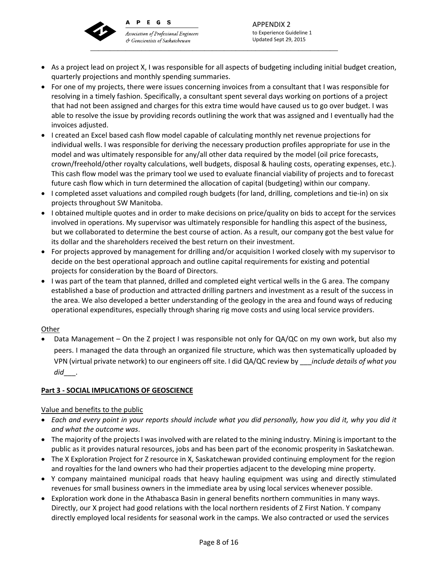

PEGS

& Geoscientists of Saskatchewan

APPENDIX 2 to Experience Guideline 1 **Association of Professional Engineers** Updated Sept 29, 2015 \_\_\_\_\_\_\_\_\_\_\_\_\_\_\_\_\_\_\_\_\_\_\_\_\_\_\_\_\_\_\_\_\_\_\_\_\_\_\_\_\_\_\_\_\_\_\_\_\_\_\_\_\_\_\_\_\_\_\_\_\_\_\_

- As a project lead on project X, I was responsible for all aspects of budgeting including initial budget creation, quarterly projections and monthly spending summaries.
- For one of my projects, there were issues concerning invoices from a consultant that I was responsible for resolving in a timely fashion. Specifically, a consultant spent several days working on portions of a project that had not been assigned and charges for this extra time would have caused us to go over budget. I was able to resolve the issue by providing records outlining the work that was assigned and I eventually had the invoices adjusted.
- I created an Excel based cash flow model capable of calculating monthly net revenue projections for individual wells. I was responsible for deriving the necessary production profiles appropriate for use in the model and was ultimately responsible for any/all other data required by the model (oil price forecasts, crown/freehold/other royalty calculations, well budgets, disposal & hauling costs, operating expenses, etc.). This cash flow model was the primary tool we used to evaluate financial viability of projects and to forecast future cash flow which in turn determined the allocation of capital (budgeting) within our company.
- I completed asset valuations and compiled rough budgets (for land, drilling, completions and tie-in) on six projects throughout SW Manitoba.
- I obtained multiple quotes and in order to make decisions on price/quality on bids to accept for the services involved in operations. My supervisor was ultimately responsible for handling this aspect of the business, but we collaborated to determine the best course of action. As a result, our company got the best value for its dollar and the shareholders received the best return on their investment.
- For projects approved by management for drilling and/or acquisition I worked closely with my supervisor to decide on the best operational approach and outline capital requirements for existing and potential projects for consideration by the Board of Directors.
- I was part of the team that planned, drilled and completed eight vertical wells in the G area. The company established a base of production and attracted drilling partners and investment as a result of the success in the area. We also developed a better understanding of the geology in the area and found ways of reducing operational expenditures, especially through sharing rig move costs and using local service providers.

## Other

 Data Management – On the Z project I was responsible not only for QA/QC on my own work, but also my peers. I managed the data through an organized file structure, which was then systematically uploaded by VPN (virtual private network) to our engineers off site. I did QA/QC review by \_\_\_*include details of what you did*\_\_\_.

## **Part 3 ‐ SOCIAL IMPLICATIONS OF GEOSCIENCE**

## Value and benefits to the public

- Each and every point in your reports should include what you did personally, how you did it, why you did it *and what the outcome was*.
- The majority of the projects I was involved with are related to the mining industry. Mining is important to the public as it provides natural resources, jobs and has been part of the economic prosperity in Saskatchewan.
- The X Exploration Project for Z resource in X, Saskatchewan provided continuing employment for the region and royalties for the land owners who had their properties adjacent to the developing mine property.
- Y company maintained municipal roads that heavy hauling equipment was using and directly stimulated revenues for small business owners in the immediate area by using local services whenever possible.
- Exploration work done in the Athabasca Basin in general benefits northern communities in many ways. Directly, our X project had good relations with the local northern residents of Z First Nation. Y company directly employed local residents for seasonal work in the camps. We also contracted or used the services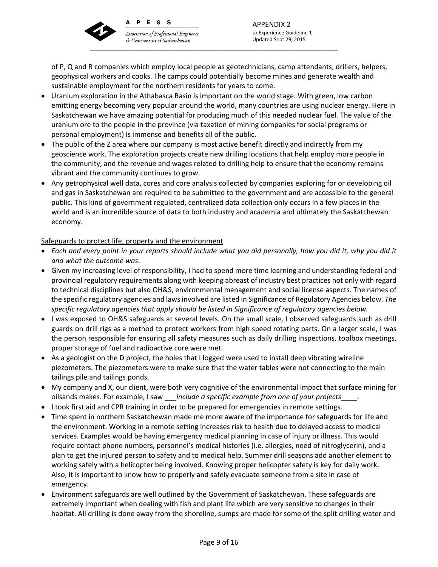

& Geoscientists of Saskatchewan

 \_\_\_\_\_\_\_\_\_\_\_\_\_\_\_\_\_\_\_\_\_\_\_\_\_\_\_\_\_\_\_\_\_\_\_\_\_\_\_\_\_\_\_\_\_\_\_\_\_\_\_\_\_\_\_\_\_\_\_\_\_\_\_ APPENDIX 2 to Experience Guideline 1 Updated Sept 29, 2015

of P, Q and R companies which employ local people as geotechnicians, camp attendants, drillers, helpers, geophysical workers and cooks. The camps could potentially become mines and generate wealth and sustainable employment for the northern residents for years to come.

- Uranium exploration in the Athabasca Basin is important on the world stage. With green, low carbon emitting energy becoming very popular around the world, many countries are using nuclear energy. Here in Saskatchewan we have amazing potential for producing much of this needed nuclear fuel. The value of the uranium ore to the people in the province (via taxation of mining companies for social programs or personal employment) is immense and benefits all of the public.
- The public of the Z area where our company is most active benefit directly and indirectly from my geoscience work. The exploration projects create new drilling locations that help employ more people in the community, and the revenue and wages related to drilling help to ensure that the economy remains vibrant and the community continues to grow.
- Any petrophysical well data, cores and core analysis collected by companies exploring for or developing oil and gas in Saskatchewan are required to be submitted to the government and are accessible to the general public. This kind of government regulated, centralized data collection only occurs in a few places in the world and is an incredible source of data to both industry and academia and ultimately the Saskatchewan economy.

## Safeguards to protect life, property and the environment

- Each and every point in your reports should include what you did personally, how you did it, why you did it *and what the outcome was*.
- Given my increasing level of responsibility, I had to spend more time learning and understanding federal and provincial regulatory requirements along with keeping abreast of industry best practices not only with regard to technical disciplines but also OH&S, environmental management and social license aspects. The names of the specific regulatory agencies and lawsinvolved are listed in Significance of Regulatory Agencies below. *The specific regulatory agencies that apply should be listed in Significance of regulatory agencies below.*
- I was exposed to OH&S safeguards at several levels. On the small scale, I observed safeguards such as drill guards on drill rigs as a method to protect workers from high speed rotating parts. On a larger scale, I was the person responsible for ensuring all safety measures such as daily drilling inspections, toolbox meetings, proper storage of fuel and radioactive core were met.
- As a geologist on the D project, the holes that I logged were used to install deep vibrating wireline piezometers. The piezometers were to make sure that the water tables were not connecting to the main tailings pile and tailings ponds.
- My company and X, our client, were both very cognitive of the environmental impact that surface mining for oilsands makes. For example, I saw \_\_\_*include a specific example from one of your projects*\_\_\_\_.
- I took first aid and CPR training in order to be prepared for emergencies in remote settings.
- Time spent in northern Saskatchewan made me more aware of the importance for safeguards for life and the environment. Working in a remote setting increases risk to health due to delayed access to medical services. Examples would be having emergency medical planning in case of injury or illness. This would require contact phone numbers, personnel's medical histories (i.e. allergies, need of nitroglycerin), and a plan to get the injured person to safety and to medical help. Summer drill seasons add another element to working safely with a helicopter being involved. Knowing proper helicopter safety is key for daily work. Also, it is important to know how to properly and safely evacuate someone from a site in case of emergency.
- Environment safeguards are well outlined by the Government of Saskatchewan. These safeguards are extremely important when dealing with fish and plant life which are very sensitive to changes in their habitat. All drilling is done away from the shoreline, sumps are made for some of the split drilling water and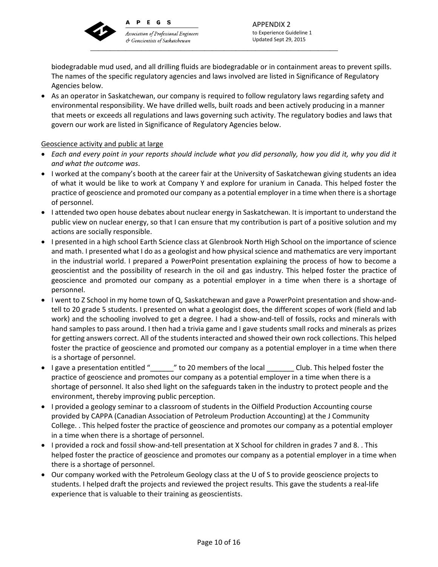

PEGS

**Association of Professional Engineers** & Geoscientists of Saskatchewan \_\_\_\_\_\_\_\_\_\_\_\_\_\_\_\_\_\_\_\_\_\_\_\_\_\_\_\_\_\_\_\_\_\_\_\_\_\_\_\_\_\_\_\_\_\_\_\_\_\_\_\_\_\_\_\_\_\_\_\_\_\_\_

APPENDIX 2 to Experience Guideline 1 Updated Sept 29, 2015

biodegradable mud used, and all drilling fluids are biodegradable or in containment areas to prevent spills. The names of the specific regulatory agencies and laws involved are listed in Significance of Regulatory Agencies below.

 As an operator in Saskatchewan, our company is required to follow regulatory laws regarding safety and environmental responsibility. We have drilled wells, built roads and been actively producing in a manner that meets or exceeds all regulations and laws governing such activity. The regulatory bodies and laws that govern our work are listed in Significance of Regulatory Agencies below.

## Geoscience activity and public at large

- Each and every point in your reports should include what you did personally, how you did it, why you did it *and what the outcome was*.
- I worked at the company's booth at the career fair at the University of Saskatchewan giving students an idea of what it would be like to work at Company Y and explore for uranium in Canada. This helped foster the practice of geoscience and promoted our company as a potential employer in a time when there is a shortage of personnel.
- I attended two open house debates about nuclear energy in Saskatchewan. It is important to understand the public view on nuclear energy, so that I can ensure that my contribution is part of a positive solution and my actions are socially responsible.
- I presented in a high school Earth Science class at Glenbrook North High School on the importance of science and math. I presented what I do as a geologist and how physical science and mathematics are very important in the industrial world. I prepared a PowerPoint presentation explaining the process of how to become a geoscientist and the possibility of research in the oil and gas industry. This helped foster the practice of geoscience and promoted our company as a potential employer in a time when there is a shortage of personnel.
- I went to Z School in my home town of Q, Saskatchewan and gave a PowerPoint presentation and show-andtell to 20 grade 5 students. I presented on what a geologist does, the different scopes of work (field and lab work) and the schooling involved to get a degree. I had a show-and-tell of fossils, rocks and minerals with hand samples to pass around. I then had a trivia game and I gave students small rocks and minerals as prizes for getting answers correct. All of the students interacted and showed their own rock collections. This helped foster the practice of geoscience and promoted our company as a potential employer in a time when there is a shortage of personnel.
- I gave a presentation entitled "  $\blacksquare$  " to 20 members of the local  $\blacksquare$  Club. This helped foster the practice of geoscience and promotes our company as a potential employer in a time when there is a shortage of personnel. It also shed light on the safeguards taken in the industry to protect people and the environment, thereby improving public perception.
- I provided a geology seminar to a classroom of students in the Oilfield Production Accounting course provided by CAPPA (Canadian Association of Petroleum Production Accounting) at the J Community College. . This helped foster the practice of geoscience and promotes our company as a potential employer in a time when there is a shortage of personnel.
- I provided a rock and fossil show-and-tell presentation at X School for children in grades 7 and 8. . This helped foster the practice of geoscience and promotes our company as a potential employer in a time when there is a shortage of personnel.
- Our company worked with the Petroleum Geology class at the U of S to provide geoscience projects to students. I helped draft the projects and reviewed the project results. This gave the students a real-life experience that is valuable to their training as geoscientists.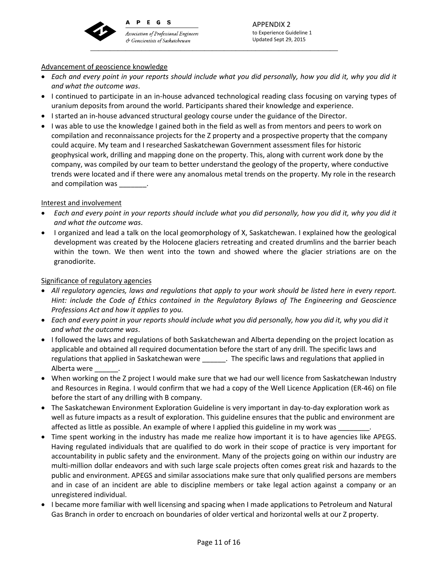

 $\mathbf{A}$ 

PEGS

**Association of Professional Engineers** & Geoscientists of Saskatchewan \_\_\_\_\_\_\_\_\_\_\_\_\_\_\_\_\_\_\_\_\_\_\_\_\_\_\_\_\_\_\_\_\_\_\_\_\_\_\_\_\_\_\_\_\_\_\_\_\_\_\_\_\_\_\_\_\_\_\_\_\_\_\_

APPENDIX 2 to Experience Guideline 1 Updated Sept 29, 2015

## Advancement of geoscience knowledge

- Each and every point in your reports should include what you did personally, how you did it, why you did it *and what the outcome was*.
- I continued to participate in an in-house advanced technological reading class focusing on varying types of uranium deposits from around the world. Participants shared their knowledge and experience.
- I started an in-house advanced structural geology course under the guidance of the Director.
- I was able to use the knowledge I gained both in the field as well as from mentors and peers to work on compilation and reconnaissance projects for the Z property and a prospective property that the company could acquire. My team and I researched Saskatchewan Government assessment files for historic geophysical work, drilling and mapping done on the property. This, along with current work done by the company, was compiled by our team to better understand the geology of the property, where conductive trends were located and if there were any anomalous metal trends on the property. My role in the research and compilation was \_\_\_\_\_\_\_\_.

## Interest and involvement

- Each and every point in your reports should include what you did personally, how you did it, why you did it *and what the outcome was*.
- I organized and lead a talk on the local geomorphology of X, Saskatchewan. I explained how the geological development was created by the Holocene glaciers retreating and created drumlins and the barrier beach within the town. We then went into the town and showed where the glacier striations are on the granodiorite.

## Significance of regulatory agencies

- All regulatory agencies, laws and regulations that apply to your work should be listed here in every report. *Hint: include the Code of Ethics contained in the Regulatory Bylaws of The Engineering and Geoscience Professions Act and how it applies to you.*
- Each and every point in your reports should include what you did personally, how you did it, why you did it *and what the outcome was*.
- I followed the laws and regulations of both Saskatchewan and Alberta depending on the project location as applicable and obtained all required documentation before the start of any drill. The specific laws and regulations that applied in Saskatchewan were \_\_\_\_\_\_\_. The specific laws and regulations that applied in Alberta were \_\_\_\_\_\_.
- When working on the Z project I would make sure that we had our well licence from Saskatchewan Industry and Resources in Regina. I would confirm that we had a copy of the Well Licence Application (ER‐46) on file before the start of any drilling with B company.
- The Saskatchewan Environment Exploration Guideline is very important in day-to-day exploration work as well as future impacts as a result of exploration. This guideline ensures that the public and environment are affected as little as possible. An example of where I applied this guideline in my work was
- Time spent working in the industry has made me realize how important it is to have agencies like APEGS. Having regulated individuals that are qualified to do work in their scope of practice is very important for accountability in public safety and the environment. Many of the projects going on within our industry are multi‐million dollar endeavors and with such large scale projects often comes great risk and hazards to the public and environment. APEGS and similar associations make sure that only qualified persons are members and in case of an incident are able to discipline members or take legal action against a company or an unregistered individual.
- I became more familiar with well licensing and spacing when I made applications to Petroleum and Natural Gas Branch in order to encroach on boundaries of older vertical and horizontal wells at our Z property.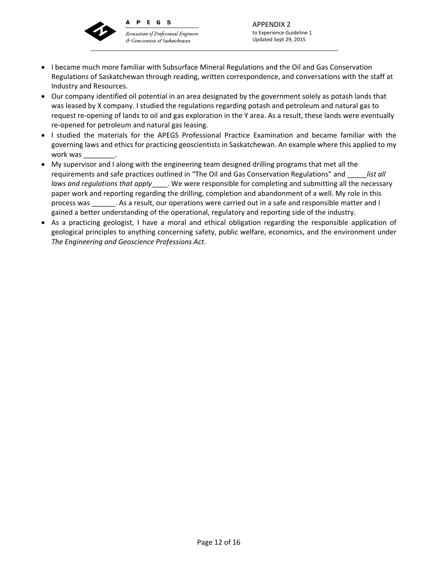

PEGS

Association of Professional Engineers & Geoscientists of Saskatchewan \_\_\_\_\_\_\_\_\_\_\_\_\_\_\_\_\_\_\_\_\_\_\_\_\_\_\_\_\_\_\_\_\_\_\_\_\_\_\_\_\_\_\_\_\_\_\_\_\_\_\_\_\_\_\_\_\_\_\_\_\_\_\_

• I became much more familiar with Subsurface Mineral Regulations and the Oil and Gas Conservation Regulations of Saskatchewan through reading, written correspondence, and conversations with the staff at Industry and Resources.

APPENDIX 2 to Experience Guideline 1 Updated Sept 29, 2015

- Our company identified oil potential in an area designated by the government solely as potash lands that was leased by X company. I studied the regulations regarding potash and petroleum and natural gas to request re‐opening of lands to oil and gas exploration in the Y area. As a result, these lands were eventually re‐opened for petroleum and natural gas leasing.
- I studied the materials for the APEGS Professional Practice Examination and became familiar with the governing laws and ethics for practicing geoscientists in Saskatchewan. An example where this applied to my work was \_\_\_\_\_\_\_\_.
- My supervisor and I along with the engineering team designed drilling programs that met all the requirements and safe practices outlined in "The Oil and Gas Conservation Regulations" and \_\_\_\_\_*list all laws and regulations that apply*\_\_\_\_. We were responsible for completing and submitting all the necessary paper work and reporting regarding the drilling, completion and abandonment of a well. My role in this process was \_\_\_\_\_\_. As a result, our operations were carried out in a safe and responsible matter and I gained a better understanding of the operational, regulatory and reporting side of the industry.
- As a practicing geologist, I have a moral and ethical obligation regarding the responsible application of geological principles to anything concerning safety, public welfare, economics, and the environment under *The Engineering and Geoscience Professions Act*.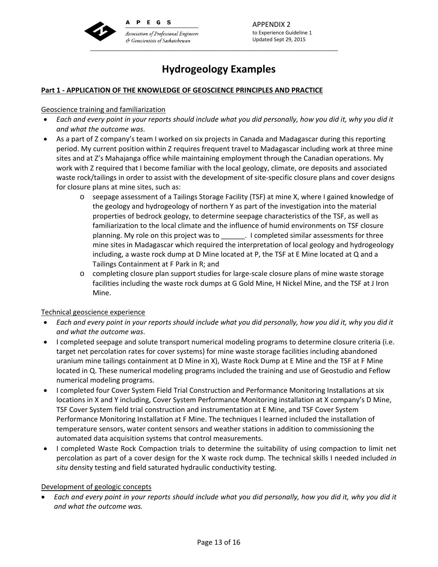

APPENDIX 2 to Experience Guideline 1 Updated Sept 29, 2015

# **Hydrogeology Examples**

## **Part 1 ‐ APPLICATION OF THE KNOWLEDGE OF GEOSCIENCE PRINCIPLES AND PRACTICE**

### Geoscience training and familiarization

- Each and every point in your reports should include what you did personally, how you did it, why you did it *and what the outcome was*.
- As a part of Z company's team I worked on six projects in Canada and Madagascar during this reporting period. My current position within Z requires frequent travel to Madagascar including work at three mine sites and at Z's Mahajanga office while maintaining employment through the Canadian operations. My work with Z required that I become familiar with the local geology, climate, ore deposits and associated waste rock/tailings in order to assist with the development of site-specific closure plans and cover designs for closure plans at mine sites, such as:
	- o seepage assessment of a Tailings Storage Facility (TSF) at mine X, where I gained knowledge of the geology and hydrogeology of northern Y as part of the investigation into the material properties of bedrock geology, to determine seepage characteristics of the TSF, as well as familiarization to the local climate and the influence of humid environments on TSF closure planning. My role on this project was to \_\_\_\_\_\_. I completed similar assessments for three mine sites in Madagascar which required the interpretation of local geology and hydrogeology including, a waste rock dump at D Mine located at P, the TSF at E Mine located at Q and a Tailings Containment at F Park in R; and
	- o completing closure plan support studies for large‐scale closure plans of mine waste storage facilities including the waste rock dumps at G Gold Mine, H Nickel Mine, and the TSF at J Iron Mine.

### Technical geoscience experience

- Each and every point in your reports should include what you did personally, how you did it, why you did it *and what the outcome was*.
- I completed seepage and solute transport numerical modeling programs to determine closure criteria (i.e. target net percolation rates for cover systems) for mine waste storage facilities including abandoned uranium mine tailings containment at D Mine in X), Waste Rock Dump at E Mine and the TSF at F Mine located in Q. These numerical modeling programs included the training and use of Geostudio and Feflow numerical modeling programs.
- I completed four Cover System Field Trial Construction and Performance Monitoring Installations at six locations in X and Y including, Cover System Performance Monitoring installation at X company's D Mine, TSF Cover System field trial construction and instrumentation at E Mine, and TSF Cover System Performance Monitoring Installation at F Mine. The techniques I learned included the installation of temperature sensors, water content sensors and weather stations in addition to commissioning the automated data acquisition systems that control measurements.
- I completed Waste Rock Compaction trials to determine the suitability of using compaction to limit net percolation as part of a cover design for the X waste rock dump. The technical skills I needed included *in situ* density testing and field saturated hydraulic conductivity testing.

### Development of geologic concepts

Each and every point in your reports should include what you did personally, how you did it, why you did it *and what the outcome was.*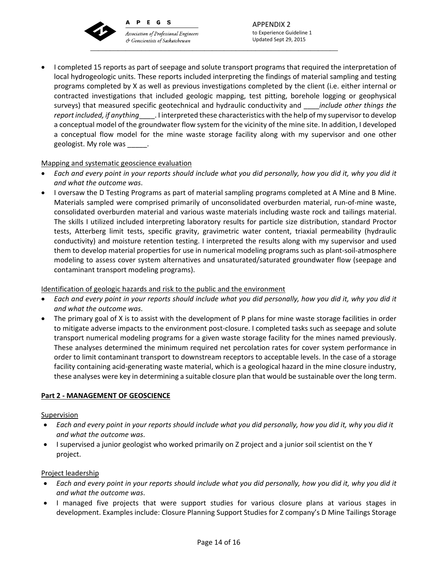

PEGS  $\mathbf{A}$ 

**Association of Professional Engineers** & Geoscientists of Saskatchewan \_\_\_\_\_\_\_\_\_\_\_\_\_\_\_\_\_\_\_\_\_\_\_\_\_\_\_\_\_\_\_\_\_\_\_\_\_\_\_\_\_\_\_\_\_\_\_\_\_\_\_\_\_\_\_\_\_\_\_\_\_\_\_

APPENDIX 2 to Experience Guideline 1 Updated Sept 29, 2015

 I completed 15 reports as part of seepage and solute transport programs that required the interpretation of local hydrogeologic units. These reports included interpreting the findings of material sampling and testing programs completed by X as well as previous investigations completed by the client (i.e. either internal or contracted investigations that included geologic mapping, test pitting, borehole logging or geophysical surveys) that measured specific geotechnical and hydraulic conductivity and \_\_\_\_*include other things the report included, if anything*\_\_\_\_. I interpreted these characteristics with the help of my supervisorto develop a conceptual model of the groundwater flow system for the vicinity of the mine site. In addition, I developed a conceptual flow model for the mine waste storage facility along with my supervisor and one other geologist. My role was \_\_\_\_\_.

## Mapping and systematic geoscience evaluation

- Each and every point in your reports should include what you did personally, how you did it, why you did it *and what the outcome was*.
- I oversaw the D Testing Programs as part of material sampling programs completed at A Mine and B Mine. Materials sampled were comprised primarily of unconsolidated overburden material, run‐of‐mine waste, consolidated overburden material and various waste materials including waste rock and tailings material. The skills I utilized included interpreting laboratory results for particle size distribution, standard Proctor tests, Atterberg limit tests, specific gravity, gravimetric water content, triaxial permeability (hydraulic conductivity) and moisture retention testing. I interpreted the results along with my supervisor and used them to develop material properties for use in numerical modeling programs such as plant‐soil‐atmosphere modeling to assess cover system alternatives and unsaturated/saturated groundwater flow (seepage and contaminant transport modeling programs).

### Identification of geologic hazards and risk to the public and the environment

- Each and every point in your reports should include what you did personally, how you did it, why you did it *and what the outcome was*.
- The primary goal of X is to assist with the development of P plans for mine waste storage facilities in order to mitigate adverse impacts to the environment post‐closure. I completed tasks such as seepage and solute transport numerical modeling programs for a given waste storage facility for the mines named previously. These analyses determined the minimum required net percolation rates for cover system performance in order to limit contaminant transport to downstream receptors to acceptable levels. In the case of a storage facility containing acid‐generating waste material, which is a geological hazard in the mine closure industry, these analyses were key in determining a suitable closure plan that would be sustainable over the long term.

### **Part 2 ‐ MANAGEMENT OF GEOSCIENCE**

### Supervision

- Each and every point in your reports should include what you did personally, how you did it, why you did it *and what the outcome was*.
- I supervised a junior geologist who worked primarily on Z project and a junior soil scientist on the Y project.

### Project leadership

- Each and every point in your reports should include what you did personally, how you did it, why you did it *and what the outcome was*.
- I managed five projects that were support studies for various closure plans at various stages in development. Examples include: Closure Planning Support Studies for Z company's D Mine Tailings Storage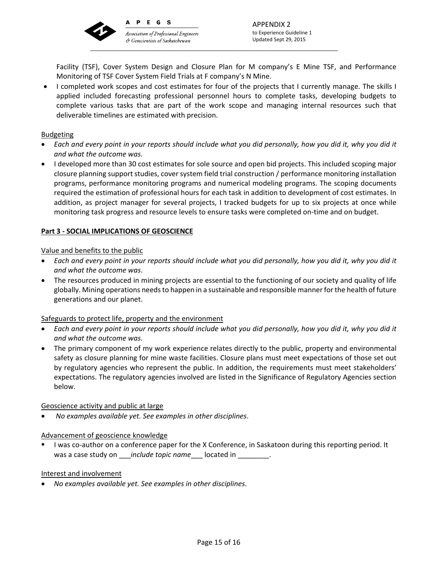

er Geoscientists of Saskatchewan

Facility (TSF), Cover System Design and Closure Plan for M company's E Mine TSF, and Performance Monitoring of TSF Cover System Field Trials at F company's N Mine.

 I completed work scopes and cost estimates for four of the projects that I currently manage. The skills I applied included forecasting professional personnel hours to complete tasks, developing budgets to complete various tasks that are part of the work scope and managing internal resources such that deliverable timelines are estimated with precision.

### Budgeting

- Each and every point in your reports should include what you did personally, how you did it, why you did it *and what the outcome was*.
- I developed more than 30 cost estimates for sole source and open bid projects. This included scoping major closure planning support studies, cover system field trial construction / performance monitoring installation programs, performance monitoring programs and numerical modeling programs. The scoping documents required the estimation of professional hours for each task in addition to development of cost estimates. In addition, as project manager for several projects, I tracked budgets for up to six projects at once while monitoring task progress and resource levels to ensure tasks were completed on‐time and on budget.

### **Part 3 ‐ SOCIAL IMPLICATIONS OF GEOSCIENCE**

### Value and benefits to the public

- Each and every point in your reports should include what you did personally, how you did it, why you did it *and what the outcome was*.
- The resources produced in mining projects are essential to the functioning of our society and quality of life globally. Mining operations needsto happen in a sustainable and responsible manner for the health of future generations and our planet.

### Safeguards to protect life, property and the environment

- Each and every point in your reports should include what you did personally, how you did it, why you did it *and what the outcome was*.
- The primary component of my work experience relates directly to the public, property and environmental safety as closure planning for mine waste facilities. Closure plans must meet expectations of those set out by regulatory agencies who represent the public. In addition, the requirements must meet stakeholders' expectations. The regulatory agencies involved are listed in the Significance of Regulatory Agencies section below.

### Geoscience activity and public at large

*No examples available yet. See examples in other disciplines*.

### Advancement of geoscience knowledge

I was co-author on a conference paper for the X Conference, in Saskatoon during this reporting period. It was a case study on *include topic name* located in Fig.  $\blacksquare$ 

### Interest and involvement

*No examples available yet. See examples in other disciplines*.